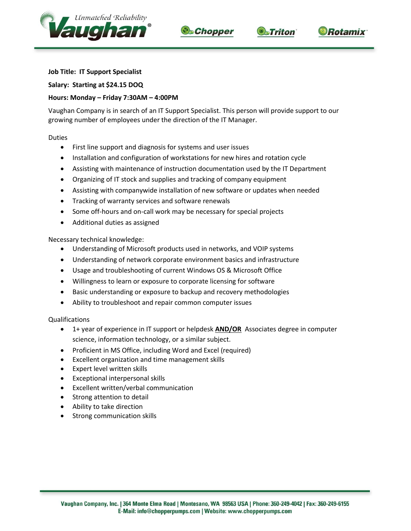





## **DRotamix**

## **Job Title: IT Support Specialist**

**Salary: Starting at \$24.15 DOQ**

## **Hours: Monday – Friday 7:30AM – 4:00PM**

Vaughan Company is in search of an IT Support Specialist. This person will provide support to our growing number of employees under the direction of the IT Manager.

Duties

- First line support and diagnosis for systems and user issues
- Installation and configuration of workstations for new hires and rotation cycle
- Assisting with maintenance of instruction documentation used by the IT Department
- Organizing of IT stock and supplies and tracking of company equipment
- Assisting with companywide installation of new software or updates when needed
- **•** Tracking of warranty services and software renewals
- Some off-hours and on-call work may be necessary for special projects
- Additional duties as assigned

Necessary technical knowledge:

- Understanding of Microsoft products used in networks, and VOIP systems
- Understanding of network corporate environment basics and infrastructure
- Usage and troubleshooting of current Windows OS & Microsoft Office
- Willingness to learn or exposure to corporate licensing for software
- Basic understanding or exposure to backup and recovery methodologies
- Ability to troubleshoot and repair common computer issues

Qualifications

- 1+ year of experience in IT support or helpdesk **AND/OR** Associates degree in computer science, information technology, or a similar subject.
- Proficient in MS Office, including Word and Excel (required)
- Excellent organization and time management skills
- Expert level written skills
- Exceptional interpersonal skills
- Excellent written/verbal communication
- Strong attention to detail
- Ability to take direction
- Strong communication skills